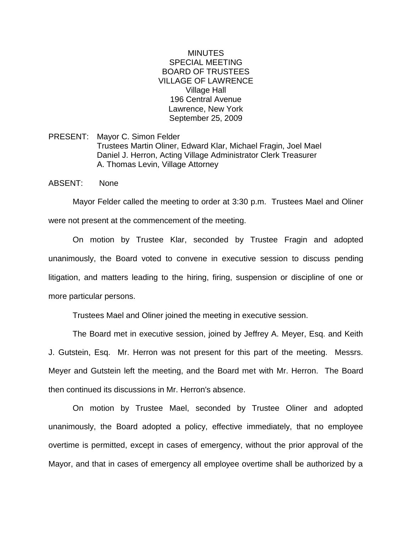## MINUTES SPECIAL MEETING BOARD OF TRUSTEES VILLAGE OF LAWRENCE Village Hall 196 Central Avenue Lawrence, New York September 25, 2009

PRESENT: Mayor C. Simon Felder Trustees Martin Oliner, Edward Klar, Michael Fragin, Joel Mael Daniel J. Herron, Acting Village Administrator Clerk Treasurer A. Thomas Levin, Village Attorney

ABSENT: None

Mayor Felder called the meeting to order at 3:30 p.m. Trustees Mael and Oliner were not present at the commencement of the meeting.

On motion by Trustee Klar, seconded by Trustee Fragin and adopted unanimously, the Board voted to convene in executive session to discuss pending litigation, and matters leading to the hiring, firing, suspension or discipline of one or more particular persons.

Trustees Mael and Oliner joined the meeting in executive session.

The Board met in executive session, joined by Jeffrey A. Meyer, Esq. and Keith J. Gutstein, Esq. Mr. Herron was not present for this part of the meeting. Messrs. Meyer and Gutstein left the meeting, and the Board met with Mr. Herron. The Board then continued its discussions in Mr. Herron's absence.

On motion by Trustee Mael, seconded by Trustee Oliner and adopted unanimously, the Board adopted a policy, effective immediately, that no employee overtime is permitted, except in cases of emergency, without the prior approval of the Mayor, and that in cases of emergency all employee overtime shall be authorized by a